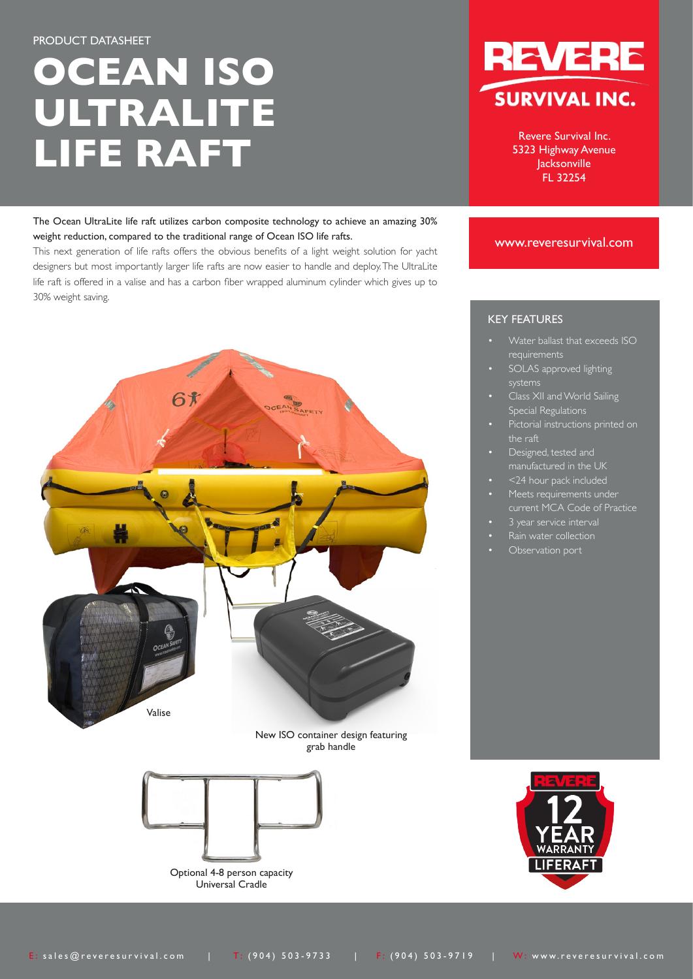# **OCEAN ISO ULTRALITE LIFE RAFT**

The Ocean UltraLite life raft utilizes carbon composite technology to achieve an amazing 30% weight reduction, compared to the traditional range of Ocean ISO life rafts.

This next generation of life rafts offers the obvious benefits of a light weight solution for yacht designers but most importantly larger life rafts are now easier to handle and deploy. The UltraLite life raft is offered in a valise and has a carbon fiber wrapped aluminum cylinder which gives up to 30% weight saving.



Revere Survival Inc. 5323 Highway Avenue Jacksonville FL 32254

#### www.reveresurvival.com



New ISO container design featuring grab handle



Optional 4-8 person capacity Universal Cradle



## KEY FEATURES

- Water ballast that exceeds ISO requirements
- SOLAS approved lighting systems
- Class XII and World Sailing Special Regulations
- Pictorial instructions printed on
- Designed, tested and manufactured in the UK
- <24 hour pack included
- Meets requirements under current MCA Code of Practice
- 
- Rain water collection
- Observation port